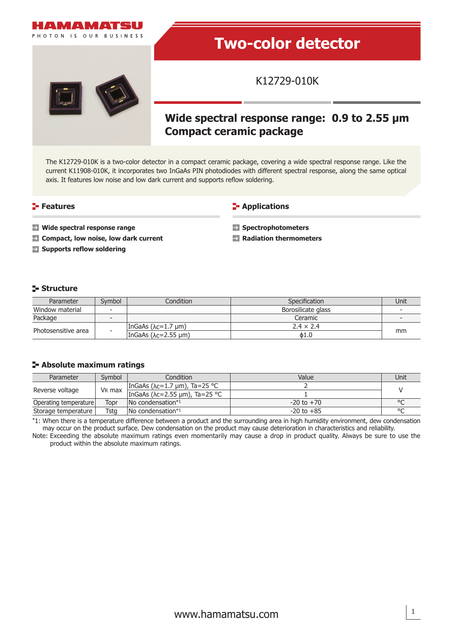

# **Two-color detector**

K12729-010K

## **Wide spectral response range: 0.9 to 2.55 µm Compact ceramic package**

The K12729-010K is a two-color detector in a compact ceramic package, covering a wide spectral response range. Like the current K11908-010K, it incorporates two InGaAs PIN photodiodes with different spectral response, along the same optical axis. It features low noise and low dark current and supports reflow soldering.

#### **Features**

**E-** Applications

- **Wide spectral response range**
- **EX** Compact, low noise, low dark current
- **Supports reflow soldering**

**Spectrophotometers**

**Radiation thermometers**

#### **Structure**

| Parameter           | Svmbol                   | Condition i                    | Specification      | Unit |  |
|---------------------|--------------------------|--------------------------------|--------------------|------|--|
| Window material     | $\overline{\phantom{a}}$ |                                | Borosilicate glass |      |  |
| Package             | $\overline{\phantom{a}}$ |                                | Ceramic            |      |  |
| Photosensitive area | $\overline{\phantom{0}}$ | IngaAs $(\lambda c=1.7 \mu m)$ | $2.4 \times 2.4$   | mm   |  |
|                     |                          | IngaAs ( $\lambda$ c=2.55 µm)  | $\phi$ 1.0         |      |  |

#### **Absolute maximum ratings**

| Parameter             | Symbol             | Condition                               | Value          | Unit    |  |
|-----------------------|--------------------|-----------------------------------------|----------------|---------|--|
| Reverse voltage       | V <sub>R</sub> max | InGaAs ( $\lambda$ c=1.7 µm), Ta=25 °C  |                |         |  |
|                       |                    | InGaAs ( $\lambda$ c=2.55 µm), Ta=25 °C |                |         |  |
| Operating temperature | Topr               | $\sqrt{N}$ condensation <sup>*1</sup>   | $-20$ to $+70$ |         |  |
| Storage temperature   | Tsta               | $\sqrt{N}$ condensation <sup>*1</sup>   | $-20$ to $+85$ | $\circ$ |  |

\*1: When there is a temperature difference between a product and the surrounding area in high humidity environment, dew condensation may occur on the product surface. Dew condensation on the product may cause deterioration in characteristics and reliability.

Note: Exceeding the absolute maximum ratings even momentarily may cause a drop in product quality. Always be sure to use the product within the absolute maximum ratings.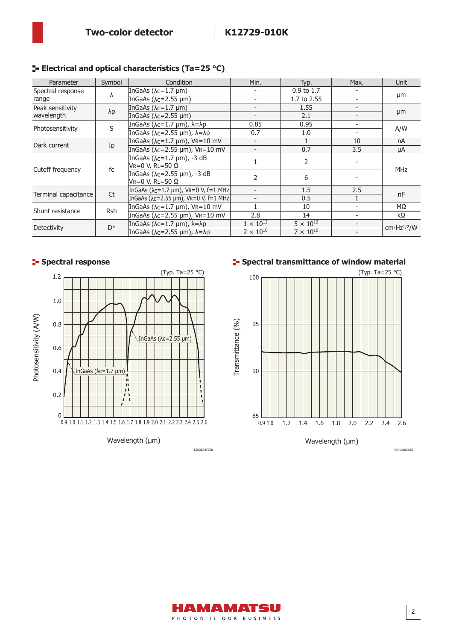| Parameter                      | Symbol         | Condition                                                     | Min.                     | Typ.                  | Max.                     | Unit                    |
|--------------------------------|----------------|---------------------------------------------------------------|--------------------------|-----------------------|--------------------------|-------------------------|
| Spectral response<br>range     | λ              | InGaAs $(\lambda c=1.7 \mu m)$                                |                          | $0.9 \text{ to } 1.7$ | $\overline{\phantom{0}}$ | µm                      |
|                                |                | InGaAs $(\lambda c=2.55 \mu m)$                               | $\overline{\phantom{0}}$ | 1.7 to 2.55           | $\overline{\phantom{a}}$ |                         |
| Peak sensitivity<br>wavelength | $\lambda p$    | InGaAs $(\lambda c=1.7 \mu m)$                                | $\overline{\phantom{a}}$ | 1.55                  | $\overline{\phantom{a}}$ | µm                      |
|                                |                | InGaAs $(\lambda c=2.55 \mu m)$                               | $\overline{\phantom{a}}$ | 2.1                   | $\overline{\phantom{a}}$ |                         |
| Photosensitivity               | S              | InGaAs ( $\lambda$ c=1.7 µm), $\lambda$ = $\lambda$ p         | 0.85                     | 0.95                  | $\overline{\phantom{a}}$ | A/W                     |
|                                |                | InGaAs ( $\lambda$ c=2.55 µm), $\lambda$ = $\lambda$ p        | 0.7                      | 1.0                   | $\overline{\phantom{a}}$ |                         |
| Dark current                   | I <sub>D</sub> | InGaAs ( $\lambda$ c=1.7 µm), VR=10 mV                        | $\overline{\phantom{a}}$ | $\mathbf{1}$          | 10                       | nA                      |
|                                |                | InGaAs ( $\lambda$ c=2.55 µm), VR=10 mV                       | $\overline{\phantom{a}}$ | 0.7                   | 3.5                      | μA                      |
| Cutoff frequency               | fc             | InGaAs ( $\lambda$ c=1.7 µm), -3 dB<br>VR=0 V, RL=50 $\Omega$ |                          | $\overline{2}$        |                          | <b>MHz</b>              |
|                                |                | InGaAs (λc=2.55 μm), -3 dB<br>Vr=0 V, Rl=50 Ω                 | 2                        | 6                     |                          |                         |
| Terminal capacitance           | <b>Ct</b>      | InGaAs ( $\lambda$ c=1.7 µm), VR=0 V, f=1 MHz                 |                          | 1.5                   | 2.5                      | nF                      |
|                                |                | InGaAs ( $\lambda$ c=2.55 µm), VR=0 V, f=1 MHz                |                          | 0.5                   |                          |                         |
| Shunt resistance               | <b>Rsh</b>     | InGaAs ( $\lambda$ c=1.7 µm), VR=10 mV                        |                          | 10                    | $\overline{\phantom{a}}$ | $M\Omega$               |
|                                |                | InGaAs ( $\lambda$ c=2.55 µm), VR=10 mV                       | 2.8                      | 14                    | $\overline{\phantom{a}}$ | $k\Omega$               |
| Detectivity                    | $D^*$          | InGaAs ( $\lambda$ c=1.7 µm), $\lambda$ = $\lambda$ p         | $1 \times 10^{12}$       | $5 \times 10^{12}$    | $\overline{\phantom{a}}$ | cm·Hz <sup>1/2</sup> /W |
|                                |                | InGaAs ( $\lambda$ c=2.55 µm), $\lambda$ = $\lambda$ p        | $2 \times 10^{10}$       | $7 \times 10^{10}$    |                          |                         |

#### **Electrical and optical characteristics (Ta=25 °C)**

### **Spectral response**







AMAMATSU PHOTON IS OUR BUSINESS KIRDB0606EB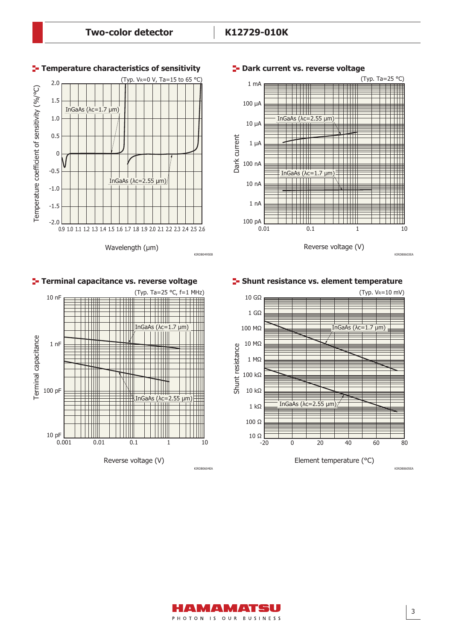

#### **P**-Dark current vs. reverse voltage

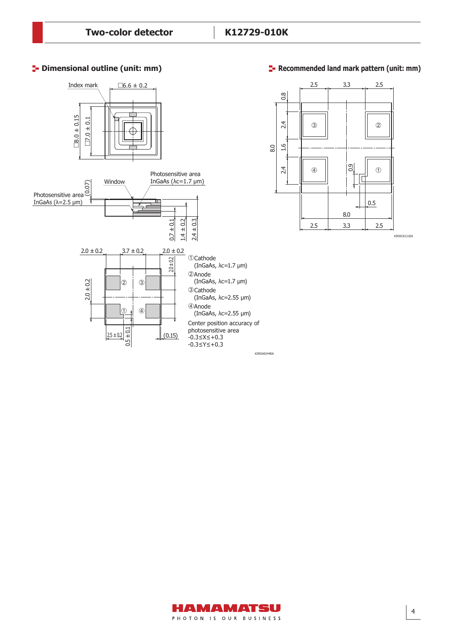#### **<sup>1</sup>** Dimensional outline (unit: mm)

Dimensional outlines (S12571-025C/-050C/-100C, unit: mm)



#### **Recommended land mark pattern (unit: mm)**



KIRDC0121EA